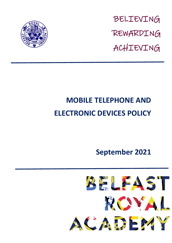

BELIEVING REWARDING ACHIEVING

# **MOBILE TELEPHONE AND ELECTRONIC DEVICES POLICY**

**September 2021**

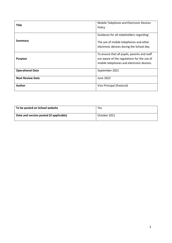| <b>Title</b>            | Mobile Telephone and Electronic Devices<br>Policy                                                                                        |
|-------------------------|------------------------------------------------------------------------------------------------------------------------------------------|
| Summary                 | Guidance for all stakeholders regarding:<br>The use of mobile telephones and other                                                       |
|                         | electronic devices during the School day.                                                                                                |
| <b>Purpose</b>          | To ensure that all pupils, parents and staff<br>are aware of the regulations for the use of<br>mobile telephones and electronic devices. |
| <b>Operational Date</b> | September 2021                                                                                                                           |
| <b>Next Review Date</b> | June 2022                                                                                                                                |
| <b>Author</b>           | Vice Principal (Pastoral)                                                                                                                |

| To be posted on School website          | Yes          |
|-----------------------------------------|--------------|
| Date and version posted (if applicable) | October 2021 |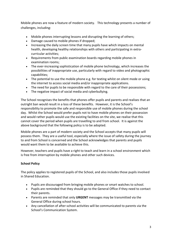Mobile phones are now a feature of modern society. This technology presents a number of challenges, including:

- Mobile phones interrupting lessons and disrupting the learning of others;
- Damage caused to mobile phones if dropped;
- Increasing the daily screen time that many pupils have which impacts on mental health, developing healthy relationships with others and participating in extracurricular activities;
- Requirements from public examination boards regarding mobile phones in examination rooms;
- The ever-increasing sophistication of mobile phone technology, which increases the possibilities of inappropriate use, particularly with regard to video and photographic capabilities;
- The potential to use the mobile phone e.g. for texting whilst on silent mode or using the internet to access social media and/or inappropriate applications.
- The need for pupils to be responsible with regard to the care of their possessions;
- The negative impact of social media and cyberbullying.

The School recognises the benefits that phones offer pupils and parents and realises that an outright ban would result in a loss of these benefits. However, it is the School's responsibility to promote the safe and responsible use of mobile phones during the school day. Whilst the School would prefer pupils not to have mobile phones on their possession and would rather pupils would use the existing facilities on the site, we realise that this cannot cover the period when pupils are travelling to and from school. It is against the above background that the following policy is to be adopted.

Mobile phones are a part of modern society and the School accepts that many pupils will possess them. They are a useful tool, especially where the issue of safety during the journey to and from School is concerned and the School acknowledges that parents and pupils would want them to be available to achieve this.

However, teachers and pupils have a right to teach and learn in a school environment which is free from interruption by mobile phones and other such devices.

### **School Policy**

The policy applies to registered pupils of the School, and also includes those pupils involved in Shared Education.

- Pupils are discouraged from bringing mobile phones or smart watches to school.
- Pupils are reminded that they should go to the General Office if they need to contact their parents.
- Parents are reminded that only **URGENT** messages may be transmitted via the General Office during school hours.
- Any cancellation of after-school activities will be communicated to parents via the School's Communication System.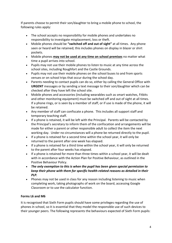If parents choose to permit their son/daughter to bring a mobile phone to school, the following rules apply:

- The school accepts no responsibility for mobile phones and undertakes no responsibility to investigate misplacement, loss or theft.
- Mobile phones should be **"switched off and out of sight"** at all times. Any phone seen or heard will be retained; this includes phones on display in blazer or shirt pockets.
- Mobile phones **may not be used at any time on school premises** no matter what time a pupil arrives into school.
- Pupils may not use their mobile phones to listen to music at any time across the school sites, including Roughfort and the Castle Grounds.
- Pupils may not use their mobile phones on the school buses to and from sports venues or on school trips that occur during the school day.
- Parents needing to contact pupils can do so, either by calling the General Office with **URGENT** messages or by sending a text message to their son/daughter which can be checked after they have left the school site.
- Mobile phones and accessories (including wearables such as smart watches, Fitbits and other monitoring equipment) must be switched off and out of sight at all times. If a phone rings, or is seen by a member of staff, or if use is made of the phone, it will be retained.
- Any member of staff can confiscate a phone. This includes all support staff and temporary teaching staff.
- If a phone is retained, it will be left with the Principal. Parents will be contacted by the Principal's secretary to inform them of the confiscation and arrangements will be made for either a parent or other responsible adult to collect the item the next working day. Under no circumstances will a phone be returned directly to the pupil.
- If a phone is retained for a second time within the school year, it will only be returned to the parent after one week has elapsed.
- If a phone is retained for a third time within the school year, it will only be returned to the parent after four weeks has elapsed.
- If a phone is retained for more than three times within a school year, it will be dealt with in accordance with the Action Plan for Positive Behaviour, as outlined in the Positive Behaviour Policy.
- *The only exemption to this is when the pupil has been given special permission to keep their phone with them for specific health-related reasons as detailed in their PLP.*
- Phones may not be used in class for any reason including listening to music when completing work, taking photographs of work on the board, accessing Google Classroom or to use the calculator function.

## **Forms L6 and M6**

It is recognised that Sixth Form pupils should have some privileges regarding the use of phones in school, so it is essential that they model the responsible use of such devices to their younger peers. The following represents the behaviours expected of Sixth Form pupils: